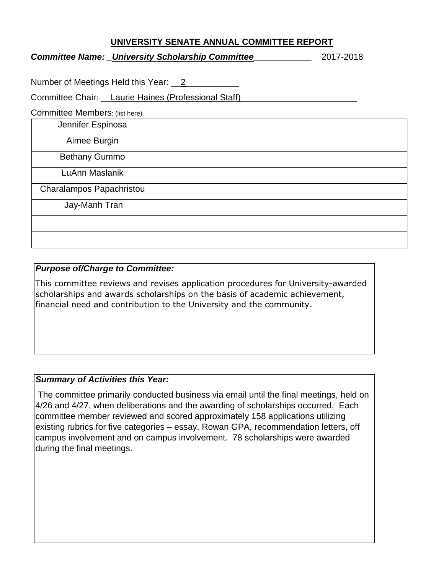## **UNIVERSITY SENATE ANNUAL COMMITTEE REPORT**

## *Committee Name: \_University Scholarship Committee\_\_\_\_\_\_\_\_\_\_\_\_* 2017-2018

Number of Meetings Held this Year: 2

Committee Chair: Laurie Haines (Professional Staff)

Committee Members: (list here)

| $\overline{\phantom{a}}$<br>Jennifer Espinosa |  |
|-----------------------------------------------|--|
| Aimee Burgin                                  |  |
| <b>Bethany Gummo</b>                          |  |
| LuAnn Maslanik                                |  |
| Charalampos Papachristou                      |  |
| Jay-Manh Tran                                 |  |
|                                               |  |
|                                               |  |

# *Purpose of/Charge to Committee:*

This committee reviews and revises application procedures for University-awarded scholarships and awards scholarships on the basis of academic achievement, financial need and contribution to the University and the community.

# *Summary of Activities this Year:*

The committee primarily conducted business via email until the final meetings, held on 4/26 and 4/27, when deliberations and the awarding of scholarships occurred. Each committee member reviewed and scored approximately 158 applications utilizing existing rubrics for five categories – essay, Rowan GPA, recommendation letters, off campus involvement and on campus involvement. 78 scholarships were awarded during the final meetings.